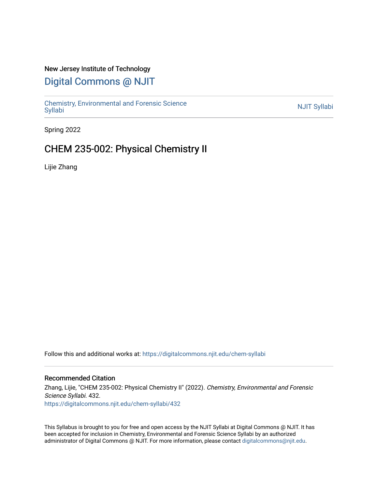## New Jersey Institute of Technology

# [Digital Commons @ NJIT](https://digitalcommons.njit.edu/)

Chemistry, Environmental and Forensic Science<br>Syllabi

Spring 2022

## CHEM 235-002: Physical Chemistry II

Lijie Zhang

Follow this and additional works at: [https://digitalcommons.njit.edu/chem-syllabi](https://digitalcommons.njit.edu/chem-syllabi?utm_source=digitalcommons.njit.edu%2Fchem-syllabi%2F432&utm_medium=PDF&utm_campaign=PDFCoverPages) 

#### Recommended Citation

Zhang, Lijie, "CHEM 235-002: Physical Chemistry II" (2022). Chemistry, Environmental and Forensic Science Syllabi. 432. [https://digitalcommons.njit.edu/chem-syllabi/432](https://digitalcommons.njit.edu/chem-syllabi/432?utm_source=digitalcommons.njit.edu%2Fchem-syllabi%2F432&utm_medium=PDF&utm_campaign=PDFCoverPages) 

This Syllabus is brought to you for free and open access by the NJIT Syllabi at Digital Commons @ NJIT. It has been accepted for inclusion in Chemistry, Environmental and Forensic Science Syllabi by an authorized administrator of Digital Commons @ NJIT. For more information, please contact [digitalcommons@njit.edu.](mailto:digitalcommons@njit.edu)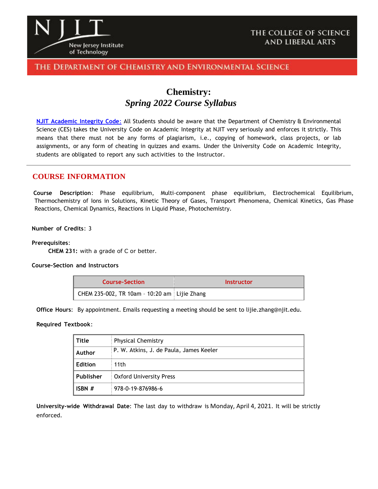

## THE COLLEGE OF SCIENCE **AND LIBERAL ARTS**

## THE DEPARTMENT OF CHEMISTRY AND ENVIRONMENTAL SCIENCE

## **Chemistry:**  *Spring 2022 Course Syllabus*

**NJIT [Academic](https://www.njit.edu/policies/sites/policies/files/academic-integrity-code.pdf) Integrity Code**: All Students should be aware that the Department of Chemistry & Environmental Science (CES) takes the University Code on Academic Integrity at NJIT very seriously and enforces it strictly. This means that there must not be any forms of plagiarism, i.e., copying of homework, class projects, or lab assignments, or any form of cheating in quizzes and exams. Under the University Code on Academic Integrity, students are obligated to report any such activities to the Instructor.

### **COURSE INFORMATION**

 **Course Description**: Phase equilibrium, Multi-component phase equilibrium, Electrochemical Equilibrium, Thermochemistry of Ions in Solutions, Kinetic Theory of Gases, Transport Phenomena, Chemical Kinetics, Gas Phase Reactions, Chemical Dynamics, Reactions in Liquid Phase, Photochemistry.

#### **Number of Credits**: 3

#### **Prerequisites**:

 **CHEM 231:** with a grade of C or better.

#### **Course-Section and Instructors**

| <b>Course-Section</b>                        | Instructor |
|----------------------------------------------|------------|
| CHEM 235-002, TR 10am - 10:20 am Lijie Zhang |            |

**Office Hours**: By appointment. Emails requesting a meeting should be sent to lijie.zhang@njit.edu.

#### **Required Textbook**:

| Title     | <b>Physical Chemistry</b>               |  |
|-----------|-----------------------------------------|--|
| Author    | P. W. Atkins, J. de Paula, James Keeler |  |
| Edition   | 11th                                    |  |
| Publisher | Oxford University Press                 |  |
| ISBN $#$  | 978-0-19-876986-6                       |  |

**University-wide Withdrawal Date**: The last day to withdraw is Monday, April 4, 2021. It will be strictly enforced.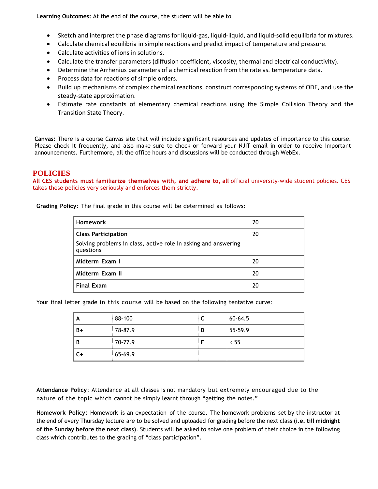**Learning Outcomes:** At the end of the course, the student will be able to

- Sketch and interpret the phase diagrams for liquid-gas, liquid-liquid, and liquid-solid equilibria for mixtures.
- Calculate chemical equilibria in simple reactions and predict impact of temperature and pressure.
- Calculate activities of ions in solutions.
- Calculate the transfer parameters (diffusion coefficient, viscosity, thermal and electrical conductivity).
- Determine the Arrhenius parameters of a chemical reaction from the rate vs. temperature data.
- Process data for reactions of simple orders.
- Build up mechanisms of complex chemical reactions, construct corresponding systems of ODE, and use the steady-state approximation.
- Estimate rate constants of elementary chemical reactions using the Simple Collision Theory and the Transition State Theory.

**Canvas:** There is a course Canvas site that will include significant resources and updates of importance to this course. Please check it frequently, and also make sure to check or forward your NJIT email in order to receive important announcements. Furthermore, all the office hours and discussions will be conducted through WebEx.

## **POLICIES**

**All CES students must familiarize themselves with, and adhere to, all** official university-wide student policies. CES takes these policies very seriously and enforces them strictly.

**Grading Policy**: The final grade in this course will be determined as follows:

| <b>Homework</b>                                                             | 20 |
|-----------------------------------------------------------------------------|----|
| <b>Class Participation</b>                                                  | 20 |
| Solving problems in class, active role in asking and answering<br>questions |    |
| Midterm Exam I                                                              | 20 |
| Midterm Exam II                                                             | 20 |
| <b>Final Exam</b>                                                           | 20 |

Your final letter grade in this course will be based on the following tentative curve:

| A  | 88-100  |   | 60-64.5 |
|----|---------|---|---------|
| B+ | 78-87.9 | D | 55-59.9 |
| B  | 70-77.9 |   | < 55    |
| C+ | 65-69.9 |   |         |

**Attendance Policy**: Attendance at all classes is not mandatory but extremely encouraged due to the nature of the topic which cannot be simply learnt through "getting the notes."

**Homework Policy**: Homework is an expectation of the course. The homework problems set by the instructor at the end of every Thursday lecture are to be solved and uploaded for grading before the next class **(i.e. till midnight of the Sunday before the next class)**. Students will be asked to solve one problem of their choice in the following class which contributes to the grading of "class participation".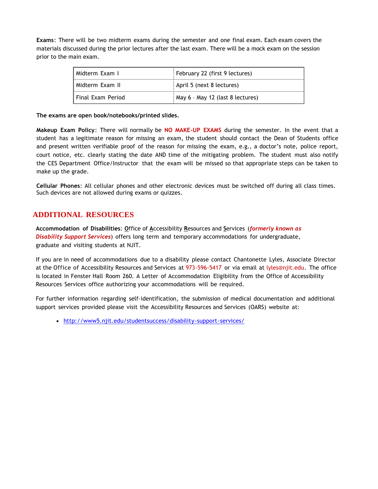**Exams**: There will be two midterm exams during the semester and one final exam. Each exam covers the materials discussed during the prior lectures after the last exam. There will be a mock exam on the session prior to the main exam.

| l Midterm Exam I    | February 22 (first 9 lectures)   |  |
|---------------------|----------------------------------|--|
| l Midterm Exam II   | April 5 (next 8 lectures)        |  |
| l Final Exam Period | May 6 - May 12 (last 8 lectures) |  |

**The exams are open book/notebooks/printed slides.**

**Makeup Exam Policy**: There will normally be **NO MAKE-UP EXAMS** during the semester. In the event that a student has a legitimate reason for missing an exam, the student should contact the Dean of Students office and present written verifiable proof of the reason for missing the exam, e.g., a doctor's note, police report, court notice, etc. clearly stating the date AND time of the mitigating problem. The student must also notify the CES Department Office/Instructor that the exam will be missed so that appropriate steps can be taken to make up the grade.

**Cellular Phones**: All cellular phones and other electronic devices must be switched off during all class times. Such devices are not allowed during exams or quizzes.

## **ADDITIONAL RESOURCES**

**Accommodation of Disabilities**: **O**ffice of **A**ccessibility **R**esources and **S**ervices (*formerly known as Disability Support Services*) offers long term and temporary accommodations for undergraduate, graduate and visiting students at NJIT.

If you are in need of accommodations due to a disability please contact Chantonette Lyles, Associate Director at the Office of Accessibility Resources and Services at 973-596-5417 or via email at [lyles@njit.edu.](mailto:lyles@njit.edu) The office is located in Fenster Hall Room 260. A Letter of Accommodation Eligibility from the Office of Accessibility Resources Services office authorizing your accommodations will be required.

For further information regarding self-identification, the submission of medical documentation and additional support services provided please visit the Accessibility Resources and Services (OARS) website at:

[http://www5.njit.edu/studentsuccess/disability-support-services/](http://www.njit.edu/studentsuccess/accessibility/)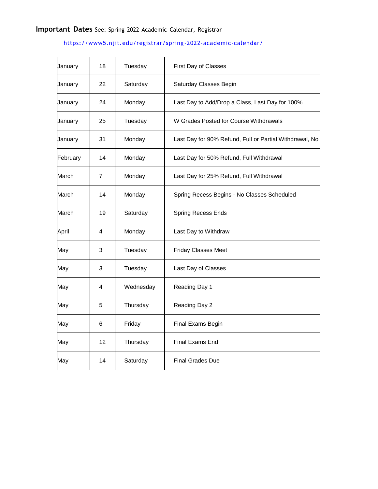# **Important Dates** See: Spring 2022 Academic Calendar, Registrar

## <https://www5.njit.edu/registrar/spring-2022-academic-calendar/>

| January  | 18 | Tuesday   | First Day of Classes                                    |
|----------|----|-----------|---------------------------------------------------------|
| January  | 22 | Saturday  | Saturday Classes Begin                                  |
| January  | 24 | Monday    | Last Day to Add/Drop a Class, Last Day for 100%         |
| January  | 25 | Tuesday   | W Grades Posted for Course Withdrawals                  |
| January  | 31 | Monday    | Last Day for 90% Refund, Full or Partial Withdrawal, No |
| February | 14 | Monday    | Last Day for 50% Refund, Full Withdrawal                |
| March    | 7  | Monday    | Last Day for 25% Refund, Full Withdrawal                |
| March    | 14 | Monday    | Spring Recess Begins - No Classes Scheduled             |
| March    | 19 | Saturday  | Spring Recess Ends                                      |
| April    | 4  | Monday    | Last Day to Withdraw                                    |
| May      | 3  | Tuesday   | <b>Friday Classes Meet</b>                              |
| May      | 3  | Tuesday   | Last Day of Classes                                     |
| May      | 4  | Wednesday | Reading Day 1                                           |
| May      | 5  | Thursday  | Reading Day 2                                           |
| May      | 6  | Friday    | Final Exams Begin                                       |
| May      | 12 | Thursday  | <b>Final Exams End</b>                                  |
| May      | 14 | Saturday  | <b>Final Grades Due</b>                                 |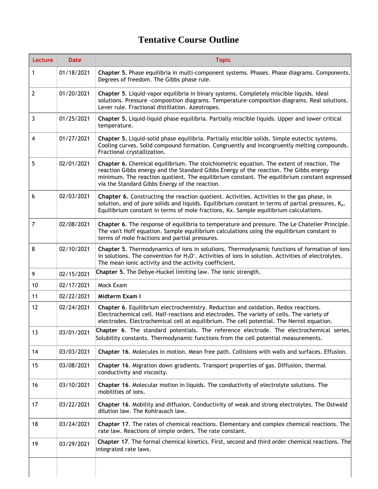# **Tentative Course Outline**

| Lecture        | <b>Date</b> | <b>Topic</b>                                                                                                                                                                                                                                                                                                                         |  |
|----------------|-------------|--------------------------------------------------------------------------------------------------------------------------------------------------------------------------------------------------------------------------------------------------------------------------------------------------------------------------------------|--|
| 1              | 01/18/2021  | Chapter 5. Phase equilibria in multi-component systems. Phases. Phase diagrams. Components.<br>Degrees of freedom. The Gibbs phase rule.                                                                                                                                                                                             |  |
| $\overline{2}$ | 01/20/2021  | Chapter 5. Liquid-vapor equilibria in binary systems. Completely miscible liquids. Ideal<br>solutions. Pressure -composition diagrams. Temperature-composition diagrams. Real solutions.<br>Lever rule. Fractional distillation. Azeotropes.                                                                                         |  |
| 3              | 01/25/2021  | Chapter 5. Liquid-liquid phase equilibria. Partially miscible liquids. Upper and lower critical<br>temperature.                                                                                                                                                                                                                      |  |
| 4              | 01/27/2021  | Chapter 5. Liquid-solid phase equilibria. Partially miscible solids. Simple eutectic systems.<br>Cooling curves. Solid compound formation. Congruently and incongruently melting compounds.<br>Fractional crystallization.                                                                                                           |  |
| 5              | 02/01/2021  | Chapter 6. Chemical equilibrium. The stoichiometric equation. The extent of reaction. The<br>reaction Gibbs energy and the Standard Gibbs Energy of the reaction. The Gibbs energy<br>minimum. The reaction quotient. The equilibrium constant. The equilibrium constant expressed<br>via the Standard Gibbs Energy of the reaction. |  |
| 6              | 02/03/2021  | <b>Chapter 6.</b> Constructing the reaction quotient. Activities. Activities in the gas phase, in<br>solution, and of pure solids and liquids. Equilibrium constant in terms of partial pressures, $K_p$ .<br>Equilibrium constant in terms of mole fractions, Kx. Sample equilibrium calculations.                                  |  |
| $\overline{7}$ | 02/08/2021  | Chapter 6. The response of equilibria to temperature and pressure. The Le Chatelier Principle.<br>The van't Hoff equation. Sample equilibrium calculations using the equilibrium constant in<br>terms of mole fractions and partial pressures.                                                                                       |  |
| 8              | 02/10/2021  | Chapter 5. Thermodynamics of ions in solutions. Thermodynamic functions of formation of ions<br>in solutions. The convention for $H_3O^*$ . Activities of ions in solution. Activities of electrolytes.<br>The mean ionic activity and the activity coefficient.                                                                     |  |
| 9              | 02/15/2021  | Chapter 5. The Debye-Huckel limiting law. The ionic strength.                                                                                                                                                                                                                                                                        |  |
| 10             | 02/17/2021  | Mock Exam                                                                                                                                                                                                                                                                                                                            |  |
| 11             | 02/22/2021  | Midterm Exam I                                                                                                                                                                                                                                                                                                                       |  |
| 12             | 02/24/2021  | Chapter 6. Equilibrium electrochemistry. Reduction and oxidation. Redox reactions.<br>Electrochemical cell. Half-reactions and electrodes. The variety of cells. The variety of<br>electrodes. Electrochemical cell at equilibrium. The cell potential. The Nernst equation.                                                         |  |
| 13             | 03/01/2021  | Chapter 6. The standard potentials. The reference electrode. The electrochemical series.<br>Solubility constants. Thermodynamic functions from the cell potential measurements.                                                                                                                                                      |  |
| 14             | 03/03/2021  | Chapter 16. Molecules in motion. Mean free path. Collisions with walls and surfaces. Effusion.                                                                                                                                                                                                                                       |  |
| 15             | 03/08/2021  | Chapter 16. Migration down gradients. Transport properties of gas. Diffusion, thermal<br>conductivity and viscosity.                                                                                                                                                                                                                 |  |
| 16             | 03/10/2021  | Chapter 16. Molecular motion in liquids. The conductivity of electrolyte solutions. The<br>mobilities of ions.                                                                                                                                                                                                                       |  |
| 17             | 03/22/2021  | Chapter 16. Mobility and diffusion. Conductivity of weak and strong electrolytes. The Ostwald<br>dilution law. The Kohlrausch law.                                                                                                                                                                                                   |  |
| 18             | 03/24/2021  | Chapter 17. The rates of chemical reactions. Elementary and complex chemical reactions. The<br>rate law. Reactions of simple orders. The rate constant.                                                                                                                                                                              |  |
| 19             | 03/29/2021  | Chapter 17. The formal chemical kinetics. First, second and third order chemical reactions. The<br>integrated rate laws.                                                                                                                                                                                                             |  |
|                |             |                                                                                                                                                                                                                                                                                                                                      |  |